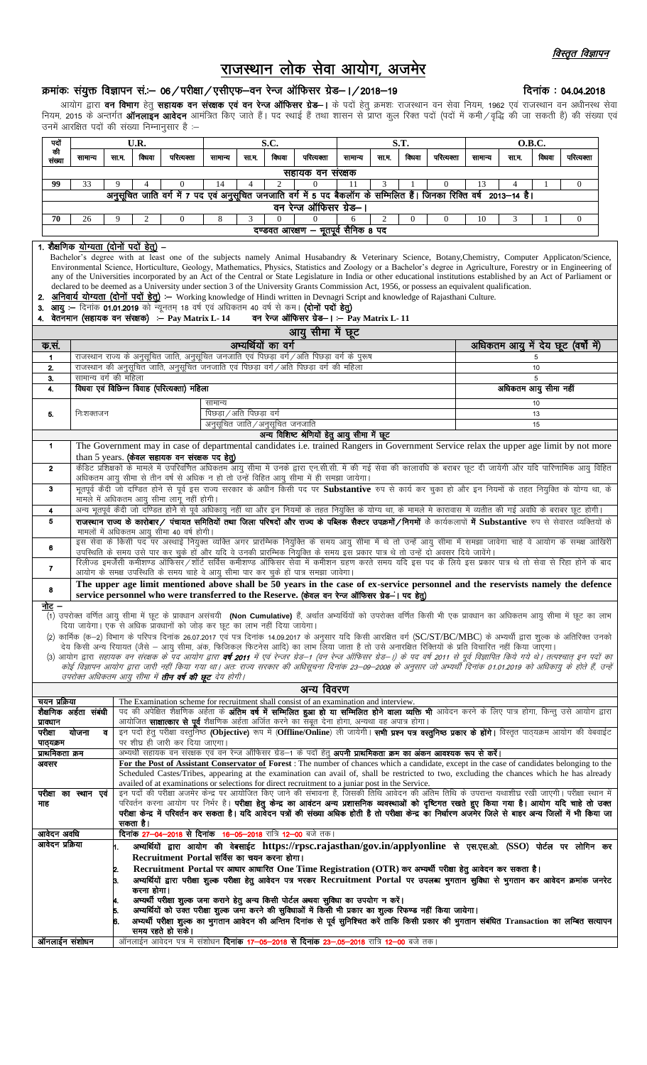## राजस्थान लोक सेवा आयोग, अजमेर

## क्रमांकः संयुक्त विज्ञापन सं.- 06 / परीक्षा / एसीएफ-वन रेन्ज ऑफिसर ग्रेड- । / 2018-19

| पदों                                                                                                                                                                                          |                                                                                                                                                                                                                                                                                                                         |                                                                                                                                                                                                                                                                                                                                       | U.R.                                                                                                                                                                                               |                                                                            |                                                             |       | S.C.                |                                                                                                                                                                                                                                                                                                                             |         |                | S.T.         |            | <b>O.B.C.</b>                       |       |          |            |  |  |
|-----------------------------------------------------------------------------------------------------------------------------------------------------------------------------------------------|-------------------------------------------------------------------------------------------------------------------------------------------------------------------------------------------------------------------------------------------------------------------------------------------------------------------------|---------------------------------------------------------------------------------------------------------------------------------------------------------------------------------------------------------------------------------------------------------------------------------------------------------------------------------------|----------------------------------------------------------------------------------------------------------------------------------------------------------------------------------------------------|----------------------------------------------------------------------------|-------------------------------------------------------------|-------|---------------------|-----------------------------------------------------------------------------------------------------------------------------------------------------------------------------------------------------------------------------------------------------------------------------------------------------------------------------|---------|----------------|--------------|------------|-------------------------------------|-------|----------|------------|--|--|
| की<br>संख्या                                                                                                                                                                                  | सामान्य                                                                                                                                                                                                                                                                                                                 | सा ग.                                                                                                                                                                                                                                                                                                                                 | विधवा                                                                                                                                                                                              | परित्यक्ता                                                                 | सागान्य                                                     | सा.ग. | विधवा               | परित्यक्ता                                                                                                                                                                                                                                                                                                                  | सागान्य | सा.ग.          | विधवा        | परित्यक्ता | सामान्य                             | सा ग. | विधवा    | परित्यक्ता |  |  |
|                                                                                                                                                                                               |                                                                                                                                                                                                                                                                                                                         |                                                                                                                                                                                                                                                                                                                                       |                                                                                                                                                                                                    |                                                                            |                                                             |       |                     | सहायक वन सरक्षक                                                                                                                                                                                                                                                                                                             |         |                |              |            |                                     |       |          |            |  |  |
| 99                                                                                                                                                                                            | $\mathfrak{2}$<br>33<br>$\overline{0}$<br>14<br>$\overline{0}$<br>11<br>3<br>$\theta$<br>13<br>4                                                                                                                                                                                                                        |                                                                                                                                                                                                                                                                                                                                       |                                                                                                                                                                                                    |                                                                            |                                                             |       |                     |                                                                                                                                                                                                                                                                                                                             |         |                |              |            |                                     |       |          |            |  |  |
|                                                                                                                                                                                               |                                                                                                                                                                                                                                                                                                                         | .<br>अनुसूचित जाति वर्ग में 7 पद एवं अनुसूचित जनजाति वर्ग में 5 पद बैकलॉग के सम्मिलित हैं। जिनका रिक्ति वर्ष 2013–14 है।                                                                                                                                                                                                              |                                                                                                                                                                                                    |                                                                            |                                                             |       |                     |                                                                                                                                                                                                                                                                                                                             |         |                |              |            |                                     |       |          |            |  |  |
|                                                                                                                                                                                               | वन रेन्ज ऑफिसर ग्रेड–।                                                                                                                                                                                                                                                                                                  |                                                                                                                                                                                                                                                                                                                                       |                                                                                                                                                                                                    |                                                                            |                                                             |       |                     |                                                                                                                                                                                                                                                                                                                             |         |                |              |            |                                     |       |          |            |  |  |
| 70                                                                                                                                                                                            | 26                                                                                                                                                                                                                                                                                                                      | 9                                                                                                                                                                                                                                                                                                                                     | $\mathfrak{2}$                                                                                                                                                                                     | $\Omega$                                                                   | 8                                                           | 3     | $\Omega$            | $\Omega$                                                                                                                                                                                                                                                                                                                    | 6       | $\overline{2}$ | $\mathbf{0}$ | $\theta$   | 10                                  | 3     |          | $\theta$   |  |  |
| दण्डवत आरक्षण - भूतपूर्व सैनिक 8 पद                                                                                                                                                           |                                                                                                                                                                                                                                                                                                                         |                                                                                                                                                                                                                                                                                                                                       |                                                                                                                                                                                                    |                                                                            |                                                             |       |                     |                                                                                                                                                                                                                                                                                                                             |         |                |              |            |                                     |       |          |            |  |  |
| 1. शैक्षणिक योग्यता (दोनों पदों हेतु) –<br>Bachelor's degree with at least one of the subjects namely Animal Husabandry & Veterinary Science, Botany, Chemistry, Computer Applicaton/Science, |                                                                                                                                                                                                                                                                                                                         |                                                                                                                                                                                                                                                                                                                                       |                                                                                                                                                                                                    |                                                                            |                                                             |       |                     |                                                                                                                                                                                                                                                                                                                             |         |                |              |            |                                     |       |          |            |  |  |
|                                                                                                                                                                                               |                                                                                                                                                                                                                                                                                                                         |                                                                                                                                                                                                                                                                                                                                       |                                                                                                                                                                                                    |                                                                            |                                                             |       |                     | Environmental Science, Horticulture, Geology, Mathematics, Physics, Statistics and Zoology or a Bachelor's degree in Agriculture, Forestry or in Engineering of                                                                                                                                                             |         |                |              |            |                                     |       |          |            |  |  |
|                                                                                                                                                                                               | any of the Universities incorporated by an Act of the Central or State Legislature in India or other educational institutions established by an Act of Parliament or<br>declared to be deemed as a University under section 3 of the University Grants Commission Act, 1956, or possess an equivalent qualification.    |                                                                                                                                                                                                                                                                                                                                       |                                                                                                                                                                                                    |                                                                            |                                                             |       |                     |                                                                                                                                                                                                                                                                                                                             |         |                |              |            |                                     |       |          |            |  |  |
|                                                                                                                                                                                               | 2. अनिवार्य योग्यता (दोनों पदों हेतु) :- Working knowledge of Hindi written in Devnagri Script and knowledge of Rajasthani Culture.                                                                                                                                                                                     |                                                                                                                                                                                                                                                                                                                                       |                                                                                                                                                                                                    |                                                                            |                                                             |       |                     |                                                                                                                                                                                                                                                                                                                             |         |                |              |            |                                     |       |          |            |  |  |
| 3. आयु :- दिनांक 01.01.2019 को न्यूनतम् 18 वर्ष एवं अधिकतम 40 वर्ष से कम। (दोनों पर्दो हेतु)                                                                                                  |                                                                                                                                                                                                                                                                                                                         |                                                                                                                                                                                                                                                                                                                                       |                                                                                                                                                                                                    |                                                                            |                                                             |       |                     |                                                                                                                                                                                                                                                                                                                             |         |                |              |            |                                     |       |          |            |  |  |
| 4. वेतनमान (सहायक वन संरक्षक) : - Pay Matrix L-14<br>वन रेन्ज ऑफिसर ग्रेड-। - Pay Matrix L- 11<br>आयु सीमा में छूट                                                                            |                                                                                                                                                                                                                                                                                                                         |                                                                                                                                                                                                                                                                                                                                       |                                                                                                                                                                                                    |                                                                            |                                                             |       |                     |                                                                                                                                                                                                                                                                                                                             |         |                |              |            |                                     |       |          |            |  |  |
|                                                                                                                                                                                               |                                                                                                                                                                                                                                                                                                                         |                                                                                                                                                                                                                                                                                                                                       |                                                                                                                                                                                                    |                                                                            |                                                             |       |                     |                                                                                                                                                                                                                                                                                                                             |         |                |              |            |                                     |       |          |            |  |  |
| क सं.<br>$\mathbf{1}$                                                                                                                                                                         |                                                                                                                                                                                                                                                                                                                         |                                                                                                                                                                                                                                                                                                                                       |                                                                                                                                                                                                    |                                                                            |                                                             |       | अभ्यर्थियों का वर्ग | राजस्थान राज्य के अनुसूचित जाति, अनुसूचित जनजाति एवं पिछड़ा वर्ग/अति पिछड़ा वर्ग के पुरूष                                                                                                                                                                                                                                   |         |                |              |            | अधिकतम आयु में देय छूट (वर्षों में) |       |          |            |  |  |
| 2.                                                                                                                                                                                            |                                                                                                                                                                                                                                                                                                                         |                                                                                                                                                                                                                                                                                                                                       |                                                                                                                                                                                                    |                                                                            |                                                             |       |                     | .<br>राजस्थान की अनुसूचित जाति, अनुसूचित जनजाति एवं पिछड़ा वर्ग / अति पिछड़ा वर्ग की महिला                                                                                                                                                                                                                                  |         |                |              |            | 5<br>10                             |       |          |            |  |  |
| 3.                                                                                                                                                                                            | सामान्य वर्ग की महिला                                                                                                                                                                                                                                                                                                   |                                                                                                                                                                                                                                                                                                                                       |                                                                                                                                                                                                    |                                                                            |                                                             |       |                     |                                                                                                                                                                                                                                                                                                                             |         |                |              |            | 5                                   |       |          |            |  |  |
| 4.                                                                                                                                                                                            |                                                                                                                                                                                                                                                                                                                         |                                                                                                                                                                                                                                                                                                                                       |                                                                                                                                                                                                    | विधवा एवं विछिन्न विवाह (परित्यक्ता) महिला                                 |                                                             |       |                     |                                                                                                                                                                                                                                                                                                                             |         |                |              |            | अधिकतम आयु सीमा नहीं                |       |          |            |  |  |
|                                                                                                                                                                                               |                                                                                                                                                                                                                                                                                                                         |                                                                                                                                                                                                                                                                                                                                       |                                                                                                                                                                                                    |                                                                            | सामान्य                                                     |       |                     |                                                                                                                                                                                                                                                                                                                             |         |                | 10           |            |                                     |       |          |            |  |  |
| 5.                                                                                                                                                                                            | निःशक्तजन                                                                                                                                                                                                                                                                                                               |                                                                                                                                                                                                                                                                                                                                       |                                                                                                                                                                                                    |                                                                            | पिछड़ा / अति पिछड़ा वर्ग<br>अनुसूचित जाति / अनुसूचित जनजाति |       |                     |                                                                                                                                                                                                                                                                                                                             |         |                |              |            |                                     |       | 13<br>15 |            |  |  |
|                                                                                                                                                                                               |                                                                                                                                                                                                                                                                                                                         |                                                                                                                                                                                                                                                                                                                                       |                                                                                                                                                                                                    |                                                                            |                                                             |       |                     | अन्य विशिष्ट श्रेणियों हेतु आयु सीमा में छूट                                                                                                                                                                                                                                                                                |         |                |              |            |                                     |       |          |            |  |  |
| $\mathbf 1$                                                                                                                                                                                   |                                                                                                                                                                                                                                                                                                                         |                                                                                                                                                                                                                                                                                                                                       |                                                                                                                                                                                                    |                                                                            |                                                             |       |                     | The Government may in case of departmental candidates i.e. trained Rangers in Government Service relax the upper age limit by not more                                                                                                                                                                                      |         |                |              |            |                                     |       |          |            |  |  |
|                                                                                                                                                                                               |                                                                                                                                                                                                                                                                                                                         |                                                                                                                                                                                                                                                                                                                                       |                                                                                                                                                                                                    | than 5 years. (केवल सहायक वन संरक्षक पद हेतु)                              |                                                             |       |                     | .<br>कैडिट प्रशिक्षकों के मामले में उपरिवर्णित अधिकतम आयु सीमा में उनके द्वारा एन.सी.सी. में की गई सेवा की कालावधि के बराबर छूट दी जायेगी और यदि पारिणामिक आयु विहित                                                                                                                                                        |         |                |              |            |                                     |       |          |            |  |  |
| $\overline{2}$                                                                                                                                                                                |                                                                                                                                                                                                                                                                                                                         |                                                                                                                                                                                                                                                                                                                                       |                                                                                                                                                                                                    |                                                                            |                                                             |       |                     | अधिकतम आयु सीमा से तीन वर्ष से अधिक न हो तो उन्हें विहित आयु सीमा में ही समझा जायेगा।                                                                                                                                                                                                                                       |         |                |              |            |                                     |       |          |            |  |  |
| 3                                                                                                                                                                                             |                                                                                                                                                                                                                                                                                                                         |                                                                                                                                                                                                                                                                                                                                       |                                                                                                                                                                                                    |                                                                            |                                                             |       |                     | भूतपूर्व कैदी जो दण्डित होने से पूर्व इस राज्य सरकार के अधीन किसी पद पर Substantive रुप से कार्य कर चुका हो और इन नियमों के तहत नियुक्ति के योग्य था, के                                                                                                                                                                    |         |                |              |            |                                     |       |          |            |  |  |
|                                                                                                                                                                                               |                                                                                                                                                                                                                                                                                                                         |                                                                                                                                                                                                                                                                                                                                       |                                                                                                                                                                                                    | मामले में अधिकतम आयु सीमा लागू नहीं होगी।                                  |                                                             |       |                     |                                                                                                                                                                                                                                                                                                                             |         |                |              |            |                                     |       |          |            |  |  |
| 4<br>5                                                                                                                                                                                        |                                                                                                                                                                                                                                                                                                                         | अन्य भूतपूर्व कैदी जो दण्डित होने से पूर्व अधिकायु नहीं था और इन नियमों के तहत नियुक्ति के योग्य था, के मामले मे कारावास में व्यतीत की गई अवधि के बराबर छूट होगी।<br>राजस्थान राज्य के कारोबार/ पंचायत समितियों तथा जिला परिषदों और राज्य के पब्लिक सैक्टर उपक्रमों/निगमों के कार्यकलापों में Substantive रुप से सेवारत व्यक्तियों के |                                                                                                                                                                                                    |                                                                            |                                                             |       |                     |                                                                                                                                                                                                                                                                                                                             |         |                |              |            |                                     |       |          |            |  |  |
|                                                                                                                                                                                               |                                                                                                                                                                                                                                                                                                                         |                                                                                                                                                                                                                                                                                                                                       |                                                                                                                                                                                                    | मामलों में अधिकतम आयु सीमा 40 वर्ष होगी।                                   |                                                             |       |                     |                                                                                                                                                                                                                                                                                                                             |         |                |              |            |                                     |       |          |            |  |  |
| 6                                                                                                                                                                                             |                                                                                                                                                                                                                                                                                                                         |                                                                                                                                                                                                                                                                                                                                       |                                                                                                                                                                                                    |                                                                            |                                                             |       |                     | इस सेवा के किसी पद पर अस्थाई नियुक्त व्यक्ति अगर प्रारम्भिक नियुक्ति के समय आयु सीमा में थे तो उन्हें आयु सीमा में समझा जावेगा चाहे वे आयोग के समक्ष आखिरी                                                                                                                                                                  |         |                |              |            |                                     |       |          |            |  |  |
|                                                                                                                                                                                               |                                                                                                                                                                                                                                                                                                                         |                                                                                                                                                                                                                                                                                                                                       |                                                                                                                                                                                                    |                                                                            |                                                             |       |                     | .<br>उपस्थिति के समय उसे पार कर चुके हाँ और यदि वे उनकी प्रारम्भिक नियुक्ति के समय इस प्रकार पात्र थे तो उन्हें दो अवसर दिये जायेंगे।<br>रिलीज्ड इमर्जेंसी कमीशण्ड ऑफिसर/शॉर्ट सर्विस कमीशण्ड ऑफिसर सेवा में कमीशन ग्रहण करते समय य                                                                                         |         |                |              |            |                                     |       |          |            |  |  |
| $\overline{7}$                                                                                                                                                                                |                                                                                                                                                                                                                                                                                                                         |                                                                                                                                                                                                                                                                                                                                       |                                                                                                                                                                                                    |                                                                            |                                                             |       |                     | आयोग के समक्ष उपस्थिति के समय चाहे वे आयु सीमा पार कर चुके हों पात्र समझा जावेगा।                                                                                                                                                                                                                                           |         |                |              |            |                                     |       |          |            |  |  |
| 8                                                                                                                                                                                             |                                                                                                                                                                                                                                                                                                                         |                                                                                                                                                                                                                                                                                                                                       |                                                                                                                                                                                                    |                                                                            |                                                             |       |                     | The upper age limit mentioned above shall be 50 years in the case of ex-service personnel and the reservists namely the defence                                                                                                                                                                                             |         |                |              |            |                                     |       |          |            |  |  |
| नोट –                                                                                                                                                                                         |                                                                                                                                                                                                                                                                                                                         |                                                                                                                                                                                                                                                                                                                                       |                                                                                                                                                                                                    |                                                                            |                                                             |       |                     | service personnel who were transferred to the Reserve. (केवल वन रेन्ज ऑफिसर ग्रेड-। पद हेतु)                                                                                                                                                                                                                                |         |                |              |            |                                     |       |          |            |  |  |
|                                                                                                                                                                                               |                                                                                                                                                                                                                                                                                                                         |                                                                                                                                                                                                                                                                                                                                       |                                                                                                                                                                                                    |                                                                            |                                                             |       |                     | (1) उपरोक्त वर्णित आयु सीमा में छूट के प्रावधान असंचयी <b>(Non Cumulative)</b> हैं, अर्थात अभ्यर्थियों को उपरोक्त वर्णित किसी भी एक प्रावधान का अधिकतम आयु सीमा में छूट का लाभ                                                                                                                                              |         |                |              |            |                                     |       |          |            |  |  |
|                                                                                                                                                                                               |                                                                                                                                                                                                                                                                                                                         |                                                                                                                                                                                                                                                                                                                                       |                                                                                                                                                                                                    | दिया जायेगा। एक से अधिक प्रावधानों को जोड़ कर छूट का लाभ नहीं दिया जायेगा। |                                                             |       |                     |                                                                                                                                                                                                                                                                                                                             |         |                |              |            |                                     |       |          |            |  |  |
|                                                                                                                                                                                               |                                                                                                                                                                                                                                                                                                                         |                                                                                                                                                                                                                                                                                                                                       |                                                                                                                                                                                                    |                                                                            |                                                             |       |                     | (2) कार्मिक (क-2) विभाग के परिपत्र दिनांक 26.07.2017 एवं पत्र दिनांक 14.09.2017 के अनुसार यदि किसी आरक्षित वर्ग (SC/ST/BC/MBC) के अभ्यर्थी द्वारा शुल्क के अतिरिक्त उनको<br>देय किसी अन्य रियायत (जैसे – आयु सीमा, अंक, फिजिकल फिटनेस आदि) का लाभ लिया जाता है तो उसे अनारक्षित रिक्तियों के प्रति विचारित नहीं किया जाएगा। |         |                |              |            |                                     |       |          |            |  |  |
|                                                                                                                                                                                               |                                                                                                                                                                                                                                                                                                                         |                                                                                                                                                                                                                                                                                                                                       |                                                                                                                                                                                                    |                                                                            |                                                             |       |                     | (3) आयोग द्वारा <i>सहायक वन संरक्षक के पद आयोग द्वारा <b>वर्ष 2011</b> में एवं रेन्जर ग्रेड–1 (वन रेन्ज ऑफिसर ग्रेड–1) के पद वर्ष 2011 से पूर्व विज्ञापित किये गये थे। तत्पश्चात् इन पदों का</i>                                                                                                                            |         |                |              |            |                                     |       |          |            |  |  |
|                                                                                                                                                                                               |                                                                                                                                                                                                                                                                                                                         |                                                                                                                                                                                                                                                                                                                                       |                                                                                                                                                                                                    |                                                                            |                                                             |       |                     | कोई विज्ञापन आयोग द्वारा जारी नहीं किया गया था। अतः राज्य सरकार की अधिसूचना दिनांक 23–09–2008 के अनुसार जो अभ्यर्थी दिनांक 01.01.2019 को अधिकायु के होते हैं, उन्हें                                                                                                                                                        |         |                |              |            |                                     |       |          |            |  |  |
|                                                                                                                                                                                               |                                                                                                                                                                                                                                                                                                                         |                                                                                                                                                                                                                                                                                                                                       |                                                                                                                                                                                                    | उपरोक्त अधिकतम आयु सीमा में <b>तीन वर्ष की छूट</b> देय होगी।               |                                                             |       |                     | अन्य विवरण                                                                                                                                                                                                                                                                                                                  |         |                |              |            |                                     |       |          |            |  |  |
| चयन प्रक्रिया                                                                                                                                                                                 |                                                                                                                                                                                                                                                                                                                         |                                                                                                                                                                                                                                                                                                                                       |                                                                                                                                                                                                    |                                                                            |                                                             |       |                     | The Examination scheme for recruitment shall consist of an examination and interview.                                                                                                                                                                                                                                       |         |                |              |            |                                     |       |          |            |  |  |
|                                                                                                                                                                                               | शैक्षणिक अर्हता संबंधी                                                                                                                                                                                                                                                                                                  |                                                                                                                                                                                                                                                                                                                                       |                                                                                                                                                                                                    |                                                                            |                                                             |       |                     | पद की अपेक्षित शैक्षणिक अर्हता के <b>अंतिम वर्ष में सम्मिलित हुआ हो या सम्मिलित होने वाला व्यक्ति भी</b> आवेदन करने के लिए पात्र होगा, किन्तु उसे आयोग द्वारा                                                                                                                                                               |         |                |              |            |                                     |       |          |            |  |  |
| प्रावधान<br>परीक्षा                                                                                                                                                                           | योजना<br>ਰ                                                                                                                                                                                                                                                                                                              |                                                                                                                                                                                                                                                                                                                                       |                                                                                                                                                                                                    |                                                                            |                                                             |       |                     | आयोजित <b>साक्षात्कार से पूर्व</b> शैक्षणिक अर्हता अर्जित करने का सबूत देना होगा, अन्यथा वह अपात्र होगा।<br>इन पदों हेतु परीक्षा वस्तुनिष्ठ (Objective) रूप में (Offline/Online) ली जायेगी। <b>सभी प्रश्न पत्र वस्तुनिष्ठ प्रकार के होंगे।</b> विस्तृत पाठ्यक्रम आयोग की वेबवाईट                                            |         |                |              |            |                                     |       |          |            |  |  |
| पाठ्यक्रम                                                                                                                                                                                     |                                                                                                                                                                                                                                                                                                                         |                                                                                                                                                                                                                                                                                                                                       |                                                                                                                                                                                                    | पर शीघ्र ही जारी कर दिया जाएगा।                                            |                                                             |       |                     |                                                                                                                                                                                                                                                                                                                             |         |                |              |            |                                     |       |          |            |  |  |
| प्राथमिकता क्रम                                                                                                                                                                               |                                                                                                                                                                                                                                                                                                                         |                                                                                                                                                                                                                                                                                                                                       |                                                                                                                                                                                                    |                                                                            |                                                             |       |                     | अभ्यर्थी सहायक वन संरक्षक एवं वन रेन्ज ऑफिसर ग्रेड–1 के पदों हेतु <b>अपनी प्राथमिकता क्रम का अंकन आवश्यक रूप से करें।</b>                                                                                                                                                                                                   |         |                |              |            |                                     |       |          |            |  |  |
| अवसर                                                                                                                                                                                          |                                                                                                                                                                                                                                                                                                                         |                                                                                                                                                                                                                                                                                                                                       |                                                                                                                                                                                                    |                                                                            |                                                             |       |                     | For the Post of Assistant Conservator of Forest : The number of chances which a candidate, except in the case of candidates belonging to the<br>Scheduled Castes/Tribes, appearing at the examination can avail of, shall be restricted to two, excluding the chances which he has already                                  |         |                |              |            |                                     |       |          |            |  |  |
|                                                                                                                                                                                               |                                                                                                                                                                                                                                                                                                                         |                                                                                                                                                                                                                                                                                                                                       |                                                                                                                                                                                                    |                                                                            |                                                             |       |                     |                                                                                                                                                                                                                                                                                                                             |         |                |              |            |                                     |       |          |            |  |  |
|                                                                                                                                                                                               | availed of at examinations or selections for direct recruitment to a juniar post in the Service.<br>इन पदों की परीक्षा अजमेर केन्द्र पर आयोजित किए जाने की संभावना है, जिसकी तिथि आवेदन की अंतिम तिथि के उपरान्त यथाशीघ्र रखी जाएगी। परीक्षा स्थान में<br>परीक्षा का स्थान एवं                                          |                                                                                                                                                                                                                                                                                                                                       |                                                                                                                                                                                                    |                                                                            |                                                             |       |                     |                                                                                                                                                                                                                                                                                                                             |         |                |              |            |                                     |       |          |            |  |  |
| माह                                                                                                                                                                                           | परिवर्तन करना आयोग पर निर्भर है। <b>परीक्षा हेतु केन्द्र का आवंटन अन्य प्रशासनिक व्यवस्थाओं को दृष्टिगत रखते हुए किया गया है। आयोग यदि चाहे तो उक्त</b><br>परीक्षा केन्द्र में परिवर्तन कर सकता है। यदि आवेदन पत्रों की संख्या अधिक होती है तो परीक्षा केन्द्र का निर्धारण अजमेर जिले से बाहर अन्य जिलों में भी किया जा |                                                                                                                                                                                                                                                                                                                                       |                                                                                                                                                                                                    |                                                                            |                                                             |       |                     |                                                                                                                                                                                                                                                                                                                             |         |                |              |            |                                     |       |          |            |  |  |
|                                                                                                                                                                                               |                                                                                                                                                                                                                                                                                                                         |                                                                                                                                                                                                                                                                                                                                       | सकता है।                                                                                                                                                                                           |                                                                            |                                                             |       |                     |                                                                                                                                                                                                                                                                                                                             |         |                |              |            |                                     |       |          |            |  |  |
| आवेदन अवधि<br>आवेदन प्रक्रिया                                                                                                                                                                 |                                                                                                                                                                                                                                                                                                                         |                                                                                                                                                                                                                                                                                                                                       |                                                                                                                                                                                                    |                                                                            |                                                             |       |                     | <b>दिनांक 27—04—2018 से दिनांक) 16—05—2018</b> रात्रि <b>12—00</b> बजे तक।                                                                                                                                                                                                                                                  |         |                |              |            |                                     |       |          |            |  |  |
|                                                                                                                                                                                               |                                                                                                                                                                                                                                                                                                                         |                                                                                                                                                                                                                                                                                                                                       |                                                                                                                                                                                                    |                                                                            |                                                             |       |                     | अभ्यर्थियों द्वारा आयोग की वेबसाईट https://rpsc.rajasthan/gov.in/applyonline से एस.एस.ओ. (SSO) पोर्टल पर लोगिन कर                                                                                                                                                                                                           |         |                |              |            |                                     |       |          |            |  |  |
|                                                                                                                                                                                               |                                                                                                                                                                                                                                                                                                                         | 2.                                                                                                                                                                                                                                                                                                                                    | Recruitment Portal सर्विस का चयन करना होगा।<br>Recruitment Portal पर आधार आधारित One Time Registration (OTR) कर अभ्यर्थी परीक्षा हेतु आवेदन कर सकता है।                                            |                                                                            |                                                             |       |                     |                                                                                                                                                                                                                                                                                                                             |         |                |              |            |                                     |       |          |            |  |  |
|                                                                                                                                                                                               |                                                                                                                                                                                                                                                                                                                         | 3.                                                                                                                                                                                                                                                                                                                                    |                                                                                                                                                                                                    |                                                                            |                                                             |       |                     | अभ्यर्थियों द्वारा परीक्षा शुल्क परीक्षा हेतु आवेदन पत्र भरकर Recruitment Portal पर उपलब्ध भुगतान सुविधा से भुगतान कर आवेदन क्रमांक जनरेट                                                                                                                                                                                   |         |                |              |            |                                     |       |          |            |  |  |
|                                                                                                                                                                                               |                                                                                                                                                                                                                                                                                                                         | 4.                                                                                                                                                                                                                                                                                                                                    | करना होगा।                                                                                                                                                                                         |                                                                            |                                                             |       |                     |                                                                                                                                                                                                                                                                                                                             |         |                |              |            |                                     |       |          |            |  |  |
|                                                                                                                                                                                               |                                                                                                                                                                                                                                                                                                                         | 5.                                                                                                                                                                                                                                                                                                                                    | अभ्यर्थी परीक्षा शुल्क जमा कराने हेतु अन्य किसी पोर्टल अथवा सुविधा का उपयोग न करें।<br>अभ्यर्थियों को उक्त परीक्षा शुल्क जमा करने की सुविधाओं में किसी भी प्रकार का शुल्क रिफण्ड नहीं किया जायेगा। |                                                                            |                                                             |       |                     |                                                                                                                                                                                                                                                                                                                             |         |                |              |            |                                     |       |          |            |  |  |
|                                                                                                                                                                                               |                                                                                                                                                                                                                                                                                                                         | 6.                                                                                                                                                                                                                                                                                                                                    |                                                                                                                                                                                                    |                                                                            |                                                             |       |                     | अभ्यर्थी परीक्षा शुल्क का भुगतान आवेदन की अन्तिम दिनांक से पूर्व सुनिश्चित करें ताकि किसी प्रकार की भुगतान संबंधित Transaction का लम्बित सत्यापन                                                                                                                                                                            |         |                |              |            |                                     |       |          |            |  |  |
| ऑनलाईन संशोधन                                                                                                                                                                                 |                                                                                                                                                                                                                                                                                                                         |                                                                                                                                                                                                                                                                                                                                       | समय रहते हो सके।                                                                                                                                                                                   |                                                                            |                                                             |       |                     | ऑनलाईन आवेदन पत्र में संशोधन <b>दिनांक 17–05–2018 से दिनांक 23–.0<del>5</del>–2018</b> रात्रि <b>12–00</b> बजे तक।                                                                                                                                                                                                          |         |                |              |            |                                     |       |          |            |  |  |

## दिनांक: 04.04.2018